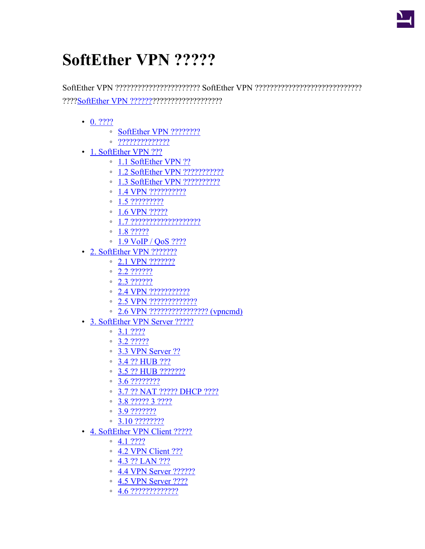

## **SoftEther VPN ?????**

SoftEther VPN ??????????????????????? SoftEther VPN ????????????????????????????? ???[?SoftEther VPN ??????](https://ja.softether.org/1-features)???????????????????

- [0. ????](https://ja.softether.org/4-docs/1-manual/0)
	- [SoftEther VPN ????????](https://ja.softether.org/4-docs/1-manual/0/0.1)
	- [??????????????](https://ja.softether.org/4-docs/1-manual/0/0.2)
- [1. SoftEther VPN ???](https://ja.softether.org/4-docs/1-manual/1)
	- [1.1 SoftEther VPN ??](https://ja.softether.org/4-docs/1-manual/1/1.1)
	- [1.2 SoftEther VPN ???????????](https://ja.softether.org/4-docs/1-manual/1/1.2)
	- [1.3 SoftEther VPN ??????????](https://ja.softether.org/4-docs/1-manual/1/1.3)
	- [1.4 VPN ??????????](https://ja.softether.org/4-docs/1-manual/1/1.4)
	- [1.5 ?????????](https://ja.softether.org/4-docs/1-manual/1/1.5)
	- [1.6 VPN ?????](https://ja.softether.org/4-docs/1-manual/1/1.6)
	- [1.7 ???????????????????](https://ja.softether.org/4-docs/1-manual/1/1.7)
	- $\degree$  [1.8 ?????](https://ja.softether.org/4-docs/1-manual/1/1.8)
	- [1.9 VoIP / QoS ????](https://ja.softether.org/4-docs/1-manual/1/1.9)
- [2. SoftEther VPN ???????](https://ja.softether.org/4-docs/1-manual/2)
	- [2.1 VPN ???????](https://ja.softether.org/4-docs/1-manual/2/2.1)
	- [2.2 ??????](https://ja.softether.org/4-docs/1-manual/2/2.2)
	- [2.3 ??????](https://ja.softether.org/4-docs/1-manual/2/2.3)
	- [2.4 VPN ???????????](https://ja.softether.org/4-docs/1-manual/2/2.4)
	- [2.5 VPN ?????????????](https://ja.softether.org/4-docs/1-manual/2/2.5)
	- [2.6 VPN ???????????????? \(vpncmd\)](https://ja.softether.org/4-docs/1-manual/2/2.6)
- [3. SoftEther VPN Server ?????](https://ja.softether.org/4-docs/1-manual/3)
	- [3.1 ????](https://ja.softether.org/4-docs/1-manual/3/3.1)
	- [3.2 ?????](https://ja.softether.org/4-docs/1-manual/3/3.2)
	- [3.3 VPN Server ??](https://ja.softether.org/4-docs/1-manual/3/3.3)
	- [3.4 ?? HUB ???](https://ja.softether.org/4-docs/1-manual/3/3.4)
	- [3.5 ?? HUB ???????](https://ja.softether.org/4-docs/1-manual/3/3.5)
	- [3.6 ????????](https://ja.softether.org/4-docs/1-manual/3/3.6)
	- [3.7 ?? NAT ????? DHCP ????](https://ja.softether.org/4-docs/1-manual/3/3.7)
	- [3.8 ????? 3 ????](https://ja.softether.org/4-docs/1-manual/3/3.8)
	- [3.9 ???????](https://ja.softether.org/4-docs/1-manual/3/3.9)
	- [3.10 ????????](https://ja.softether.org/4-docs/1-manual/3/3.A)
- [4. SoftEther VPN Client ?????](https://ja.softether.org/4-docs/1-manual/4)
	- $4.1 ????$  $4.1 ????$
	- [4.2 VPN Client ???](https://ja.softether.org/4-docs/1-manual/4/4.2)
	- [4.3 ?? LAN ???](https://ja.softether.org/4-docs/1-manual/4/4.3)
	- [4.4 VPN Server ??????](https://ja.softether.org/4-docs/1-manual/4/4.4)
	- [4.5 VPN Server ????](https://ja.softether.org/4-docs/1-manual/4/4.5)
	- [4.6 ?????????????](https://ja.softether.org/4-docs/1-manual/4/4.6)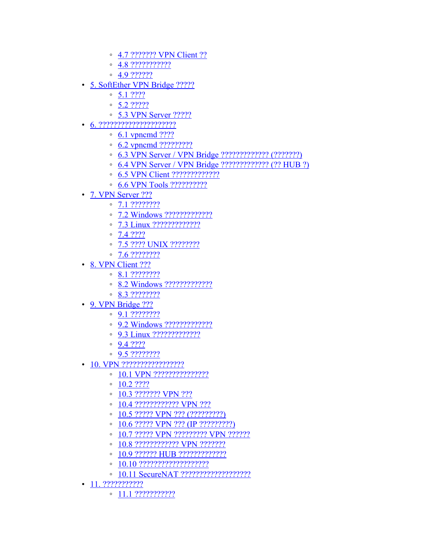- [4.7 ??????? VPN Client ??](https://ja.softether.org/4-docs/1-manual/4/4.7)
- [4.8 ???????????](https://ja.softether.org/4-docs/1-manual/4/4.8)
- $4.9.22222$
- [5. SoftEther VPN Bridge ?????](https://ja.softether.org/4-docs/1-manual/5)
	- $5.1 ????$  $5.1 ????$
	- [5.2 ?????](https://ja.softether.org/4-docs/1-manual/5/5.2)
	- [5.3 VPN Server ?????](https://ja.softether.org/4-docs/1-manual/5/5.3)
- [6. ?????????????????????](https://ja.softether.org/4-docs/1-manual/6)
	- [6.1 vpncmd ????](https://ja.softether.org/4-docs/1-manual/6/6.1)
	- [6.2 vpncmd ?????????](https://ja.softether.org/4-docs/1-manual/6/6.2)
	- [6.3 VPN Server / VPN Bridge ????????????? \(???????\)](https://ja.softether.org/4-docs/1-manual/6/6.3)
	- [6.4 VPN Server / VPN Bridge ????????????? \(?? HUB ?\)](https://ja.softether.org/4-docs/1-manual/6/6.4)
	- [6.5 VPN Client ?????????????](https://ja.softether.org/4-docs/1-manual/6/6.5)
	- [6.6 VPN Tools ??????????](https://ja.softether.org/4-docs/1-manual/6/6.6)
- [7. VPN Server ???](https://ja.softether.org/4-docs/1-manual/7)
	- [7.1 ????????](https://ja.softether.org/4-docs/1-manual/7/7.1)
	- [7.2 Windows ?????????????](https://ja.softether.org/4-docs/1-manual/7/7.2)
	- [7.3 Linux ?????????????](https://ja.softether.org/4-docs/1-manual/7/7.3)
	- [7.4 ????](https://ja.softether.org/4-docs/1-manual/7/7.4)
	- [7.5 ???? UNIX ????????](https://ja.softether.org/4-docs/1-manual/7/7.5)
	- $\circ$  [7.6 ????????](https://ja.softether.org/4-docs/1-manual/7/7.6)?
- [8. VPN Client ???](https://ja.softether.org/4-docs/1-manual/8)
	- [8.1 ????????](https://ja.softether.org/4-docs/1-manual/8/8.1)
	- [8.2 Windows ?????????????](https://ja.softether.org/4-docs/1-manual/8/8.2)
	- [8.3 ????????](https://ja.softether.org/4-docs/1-manual/8/8.3)
- [9. VPN Bridge ???](https://ja.softether.org/4-docs/1-manual/9)
	- [9.1 ????????](https://ja.softether.org/4-docs/1-manual/9/9.1)
	- [9.2 Windows ?????????????](https://ja.softether.org/4-docs/1-manual/9/9.2)
	- [9.3 Linux ?????????????](https://ja.softether.org/4-docs/1-manual/9/9.3)
	- [9.4 ????](https://ja.softether.org/4-docs/1-manual/9/9.4)
	- [9.5 ????????](https://ja.softether.org/4-docs/1-manual/9/9.5)
- [10. VPN ?????????????????](https://ja.softether.org/4-docs/1-manual/A)
	- [10.1 VPN ???????????????](https://ja.softether.org/4-docs/1-manual/A/10.1)
	- $\degree$  [10.2 ????](https://ja.softether.org/4-docs/1-manual/A/10.2)
	- [10.3 ??????? VPN ???](https://ja.softether.org/4-docs/1-manual/A/10.3)
	- [10.4 ???????????? VPN ???](https://ja.softether.org/4-docs/1-manual/A/10.4)
	- [10.5 ????? VPN ??? \(?????????\)](https://ja.softether.org/4-docs/1-manual/A/10.5)
	- [10.6 ????? VPN ??? \(IP ?????????\)](https://ja.softether.org/4-docs/1-manual/A/10.6)
	- 10.7 ????? VPN ?????????? VPN ???????
	- [10.8 ???????????? VPN ???????](https://ja.softether.org/4-docs/1-manual/A/10.8)
	- [10.9 ?????? HUB ?????????????](https://ja.softether.org/4-docs/1-manual/A/10.9)
	- [10.10 ???????????????????](https://ja.softether.org/4-docs/1-manual/A/10.A)
	- [10.11 SecureNAT ???????????????????](https://ja.softether.org/4-docs/1-manual/A/10.B)
- [11. ???????????](https://ja.softether.org/4-docs/1-manual/B)?
	- [11.1 ???????????](https://ja.softether.org/4-docs/1-manual/B/11.1)